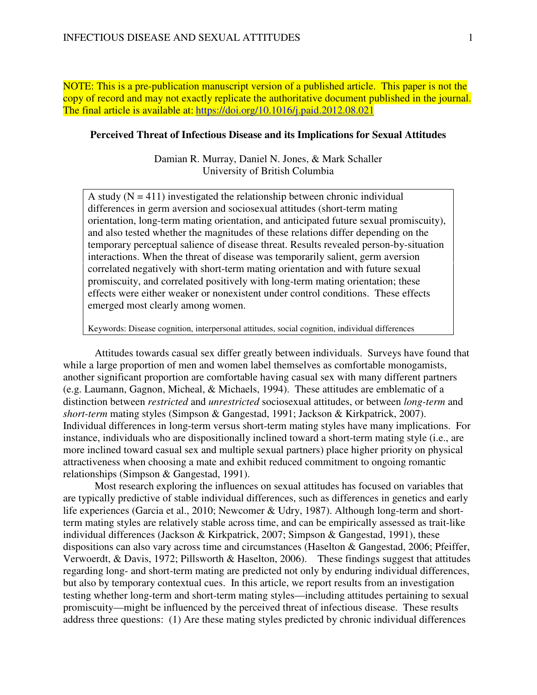NOTE: This is a pre-publication manuscript version of a published article. This paper is not the copy of record and may not exactly replicate the authoritative document published in the journal. The final article is available at: https://doi.org/10.1016/j.paid.2012.08.021

## **Perceived Threat of Infectious Disease and its Implications for Sexual Attitudes**

Damian R. Murray, Daniel N. Jones, & Mark Schaller University of British Columbia

A study  $(N = 411)$  investigated the relationship between chronic individual differences in germ aversion and sociosexual attitudes (short-term mating orientation, long-term mating orientation, and anticipated future sexual promiscuity), and also tested whether the magnitudes of these relations differ depending on the temporary perceptual salience of disease threat. Results revealed person-by-situation interactions. When the threat of disease was temporarily salient, germ aversion correlated negatively with short-term mating orientation and with future sexual promiscuity, and correlated positively with long-term mating orientation; these effects were either weaker or nonexistent under control conditions. These effects emerged most clearly among women.

Keywords: Disease cognition, interpersonal attitudes, social cognition, individual differences

Attitudes towards casual sex differ greatly between individuals. Surveys have found that while a large proportion of men and women label themselves as comfortable monogamists, another significant proportion are comfortable having casual sex with many different partners (e.g. Laumann, Gagnon, Micheal, & Michaels, 1994). These attitudes are emblematic of a distinction between *restricted* and *unrestricted* sociosexual attitudes, or between *long-term* and *short-term* mating styles (Simpson & Gangestad, 1991; Jackson & Kirkpatrick, 2007). Individual differences in long-term versus short-term mating styles have many implications. For instance, individuals who are dispositionally inclined toward a short-term mating style (i.e., are more inclined toward casual sex and multiple sexual partners) place higher priority on physical attractiveness when choosing a mate and exhibit reduced commitment to ongoing romantic relationships (Simpson & Gangestad, 1991).

Most research exploring the influences on sexual attitudes has focused on variables that are typically predictive of stable individual differences, such as differences in genetics and early life experiences (Garcia et al., 2010; Newcomer & Udry, 1987). Although long-term and shortterm mating styles are relatively stable across time, and can be empirically assessed as trait-like individual differences (Jackson & Kirkpatrick, 2007; Simpson & Gangestad, 1991), these dispositions can also vary across time and circumstances (Haselton & Gangestad, 2006; Pfeiffer, Verwoerdt, & Davis, 1972; Pillsworth & Haselton, 2006). These findings suggest that attitudes regarding long- and short-term mating are predicted not only by enduring individual differences, but also by temporary contextual cues. In this article, we report results from an investigation testing whether long-term and short-term mating styles—including attitudes pertaining to sexual promiscuity—might be influenced by the perceived threat of infectious disease. These results address three questions: (1) Are these mating styles predicted by chronic individual differences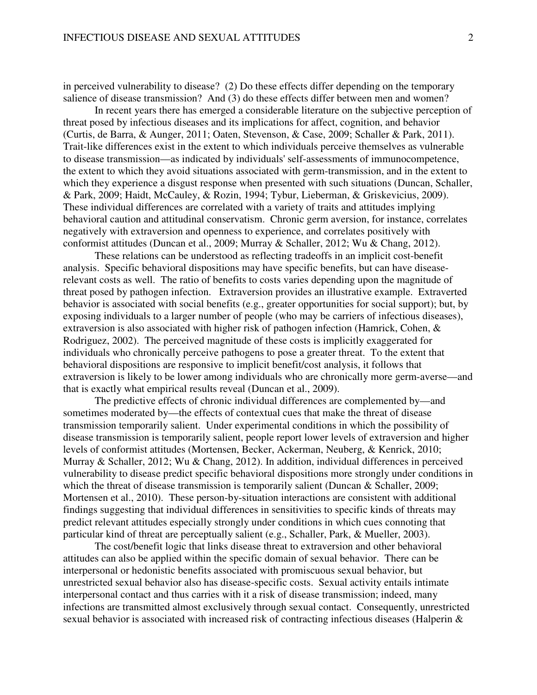in perceived vulnerability to disease? (2) Do these effects differ depending on the temporary salience of disease transmission? And (3) do these effects differ between men and women?

In recent years there has emerged a considerable literature on the subjective perception of threat posed by infectious diseases and its implications for affect, cognition, and behavior (Curtis, de Barra, & Aunger, 2011; Oaten, Stevenson, & Case, 2009; Schaller & Park, 2011). Trait-like differences exist in the extent to which individuals perceive themselves as vulnerable to disease transmission—as indicated by individuals' self-assessments of immunocompetence, the extent to which they avoid situations associated with germ-transmission, and in the extent to which they experience a disgust response when presented with such situations (Duncan, Schaller, & Park, 2009; Haidt, McCauley, & Rozin, 1994; Tybur, Lieberman, & Griskevicius, 2009). These individual differences are correlated with a variety of traits and attitudes implying behavioral caution and attitudinal conservatism. Chronic germ aversion, for instance, correlates negatively with extraversion and openness to experience, and correlates positively with conformist attitudes (Duncan et al., 2009; Murray & Schaller, 2012; Wu & Chang, 2012).

These relations can be understood as reflecting tradeoffs in an implicit cost-benefit analysis. Specific behavioral dispositions may have specific benefits, but can have diseaserelevant costs as well. The ratio of benefits to costs varies depending upon the magnitude of threat posed by pathogen infection. Extraversion provides an illustrative example. Extraverted behavior is associated with social benefits (e.g., greater opportunities for social support); but, by exposing individuals to a larger number of people (who may be carriers of infectious diseases), extraversion is also associated with higher risk of pathogen infection (Hamrick, Cohen, & Rodriguez, 2002). The perceived magnitude of these costs is implicitly exaggerated for individuals who chronically perceive pathogens to pose a greater threat. To the extent that behavioral dispositions are responsive to implicit benefit/cost analysis, it follows that extraversion is likely to be lower among individuals who are chronically more germ-averse—and that is exactly what empirical results reveal (Duncan et al., 2009).

The predictive effects of chronic individual differences are complemented by—and sometimes moderated by—the effects of contextual cues that make the threat of disease transmission temporarily salient. Under experimental conditions in which the possibility of disease transmission is temporarily salient, people report lower levels of extraversion and higher levels of conformist attitudes (Mortensen, Becker, Ackerman, Neuberg, & Kenrick, 2010; Murray & Schaller, 2012; Wu & Chang, 2012). In addition, individual differences in perceived vulnerability to disease predict specific behavioral dispositions more strongly under conditions in which the threat of disease transmission is temporarily salient (Duncan & Schaller, 2009; Mortensen et al., 2010). These person-by-situation interactions are consistent with additional findings suggesting that individual differences in sensitivities to specific kinds of threats may predict relevant attitudes especially strongly under conditions in which cues connoting that particular kind of threat are perceptually salient (e.g., Schaller, Park, & Mueller, 2003).

The cost/benefit logic that links disease threat to extraversion and other behavioral attitudes can also be applied within the specific domain of sexual behavior. There can be interpersonal or hedonistic benefits associated with promiscuous sexual behavior, but unrestricted sexual behavior also has disease-specific costs. Sexual activity entails intimate interpersonal contact and thus carries with it a risk of disease transmission; indeed, many infections are transmitted almost exclusively through sexual contact. Consequently, unrestricted sexual behavior is associated with increased risk of contracting infectious diseases (Halperin &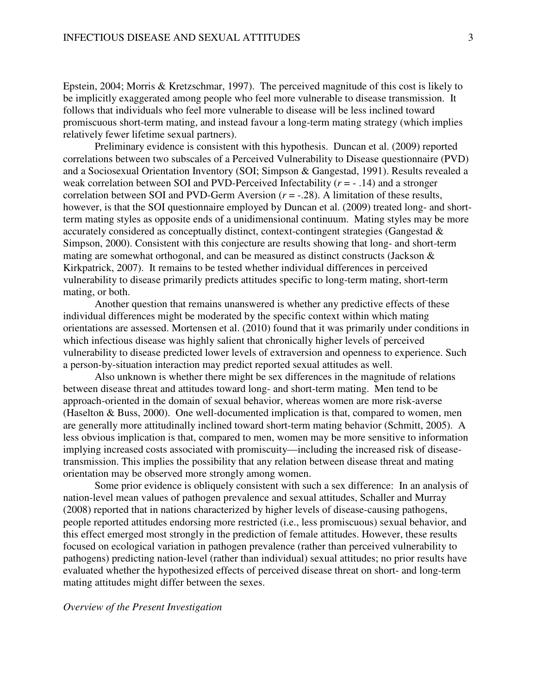Epstein, 2004; Morris & Kretzschmar, 1997). The perceived magnitude of this cost is likely to be implicitly exaggerated among people who feel more vulnerable to disease transmission. It follows that individuals who feel more vulnerable to disease will be less inclined toward promiscuous short-term mating, and instead favour a long-term mating strategy (which implies relatively fewer lifetime sexual partners).

Preliminary evidence is consistent with this hypothesis. Duncan et al. (2009) reported correlations between two subscales of a Perceived Vulnerability to Disease questionnaire (PVD) and a Sociosexual Orientation Inventory (SOI; Simpson & Gangestad, 1991). Results revealed a weak correlation between SOI and PVD-Perceived Infectability (*r* = - .14) and a stronger correlation between SOI and PVD-Germ Aversion (*r* = -.28). A limitation of these results, however, is that the SOI questionnaire employed by Duncan et al. (2009) treated long- and shortterm mating styles as opposite ends of a unidimensional continuum. Mating styles may be more accurately considered as conceptually distinct, context-contingent strategies (Gangestad & Simpson, 2000). Consistent with this conjecture are results showing that long- and short-term mating are somewhat orthogonal, and can be measured as distinct constructs (Jackson & Kirkpatrick, 2007). It remains to be tested whether individual differences in perceived vulnerability to disease primarily predicts attitudes specific to long-term mating, short-term mating, or both.

Another question that remains unanswered is whether any predictive effects of these individual differences might be moderated by the specific context within which mating orientations are assessed. Mortensen et al. (2010) found that it was primarily under conditions in which infectious disease was highly salient that chronically higher levels of perceived vulnerability to disease predicted lower levels of extraversion and openness to experience. Such a person-by-situation interaction may predict reported sexual attitudes as well.

Also unknown is whether there might be sex differences in the magnitude of relations between disease threat and attitudes toward long- and short-term mating. Men tend to be approach-oriented in the domain of sexual behavior, whereas women are more risk-averse (Haselton & Buss, 2000). One well-documented implication is that, compared to women, men are generally more attitudinally inclined toward short-term mating behavior (Schmitt, 2005). A less obvious implication is that, compared to men, women may be more sensitive to information implying increased costs associated with promiscuity—including the increased risk of diseasetransmission. This implies the possibility that any relation between disease threat and mating orientation may be observed more strongly among women.

Some prior evidence is obliquely consistent with such a sex difference: In an analysis of nation-level mean values of pathogen prevalence and sexual attitudes, Schaller and Murray (2008) reported that in nations characterized by higher levels of disease-causing pathogens, people reported attitudes endorsing more restricted (i.e., less promiscuous) sexual behavior, and this effect emerged most strongly in the prediction of female attitudes. However, these results focused on ecological variation in pathogen prevalence (rather than perceived vulnerability to pathogens) predicting nation-level (rather than individual) sexual attitudes; no prior results have evaluated whether the hypothesized effects of perceived disease threat on short- and long-term mating attitudes might differ between the sexes.

# *Overview of the Present Investigation*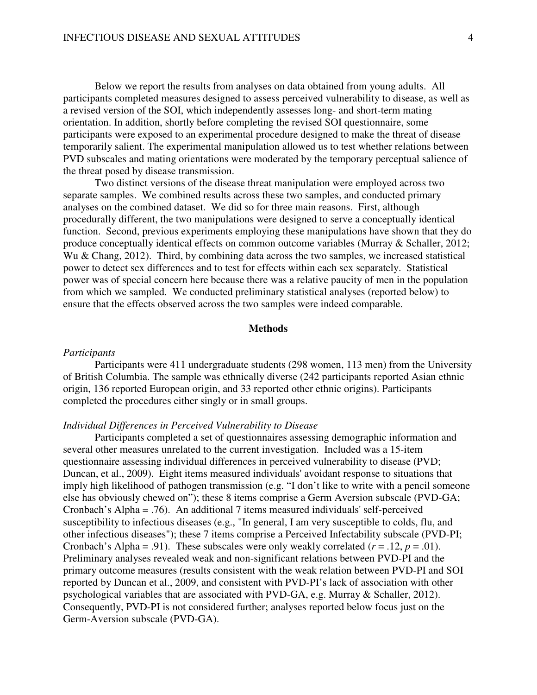Below we report the results from analyses on data obtained from young adults. All participants completed measures designed to assess perceived vulnerability to disease, as well as a revised version of the SOI, which independently assesses long- and short-term mating orientation. In addition, shortly before completing the revised SOI questionnaire, some participants were exposed to an experimental procedure designed to make the threat of disease temporarily salient. The experimental manipulation allowed us to test whether relations between PVD subscales and mating orientations were moderated by the temporary perceptual salience of the threat posed by disease transmission.

Two distinct versions of the disease threat manipulation were employed across two separate samples. We combined results across these two samples, and conducted primary analyses on the combined dataset. We did so for three main reasons. First, although procedurally different, the two manipulations were designed to serve a conceptually identical function. Second, previous experiments employing these manipulations have shown that they do produce conceptually identical effects on common outcome variables (Murray & Schaller, 2012; Wu & Chang, 2012). Third, by combining data across the two samples, we increased statistical power to detect sex differences and to test for effects within each sex separately. Statistical power was of special concern here because there was a relative paucity of men in the population from which we sampled. We conducted preliminary statistical analyses (reported below) to ensure that the effects observed across the two samples were indeed comparable.

# **Methods**

## *Participants*

Participants were 411 undergraduate students (298 women, 113 men) from the University of British Columbia. The sample was ethnically diverse (242 participants reported Asian ethnic origin, 136 reported European origin, and 33 reported other ethnic origins). Participants completed the procedures either singly or in small groups.

### *Individual Differences in Perceived Vulnerability to Disease*

Participants completed a set of questionnaires assessing demographic information and several other measures unrelated to the current investigation. Included was a 15-item questionnaire assessing individual differences in perceived vulnerability to disease (PVD; Duncan, et al., 2009). Eight items measured individuals' avoidant response to situations that imply high likelihood of pathogen transmission (e.g. "I don't like to write with a pencil someone else has obviously chewed on"); these 8 items comprise a Germ Aversion subscale (PVD-GA; Cronbach's Alpha = .76). An additional 7 items measured individuals' self-perceived susceptibility to infectious diseases (e.g., "In general, I am very susceptible to colds, flu, and other infectious diseases"); these 7 items comprise a Perceived Infectability subscale (PVD-PI; Cronbach's Alpha = .91). These subscales were only weakly correlated  $(r = .12, p = .01)$ . Preliminary analyses revealed weak and non-significant relations between PVD-PI and the primary outcome measures (results consistent with the weak relation between PVD-PI and SOI reported by Duncan et al., 2009, and consistent with PVD-PI's lack of association with other psychological variables that are associated with PVD-GA, e.g. Murray & Schaller, 2012). Consequently, PVD-PI is not considered further; analyses reported below focus just on the Germ-Aversion subscale (PVD-GA).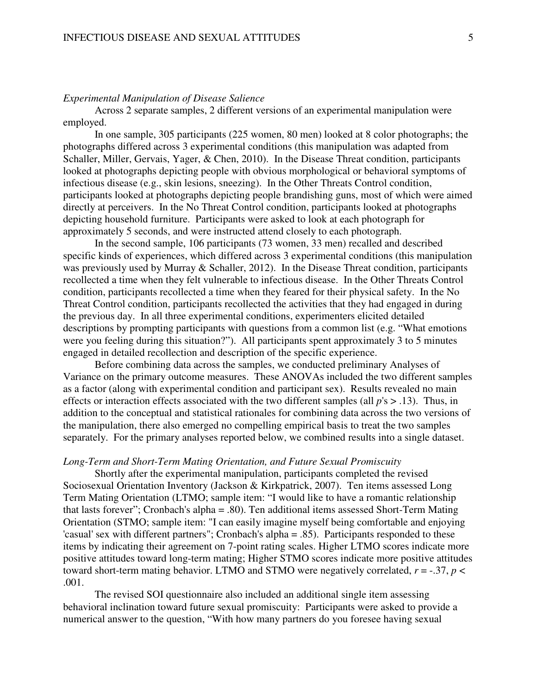# *Experimental Manipulation of Disease Salience*

Across 2 separate samples, 2 different versions of an experimental manipulation were employed.

In one sample, 305 participants (225 women, 80 men) looked at 8 color photographs; the photographs differed across 3 experimental conditions (this manipulation was adapted from Schaller, Miller, Gervais, Yager, & Chen, 2010). In the Disease Threat condition, participants looked at photographs depicting people with obvious morphological or behavioral symptoms of infectious disease (e.g., skin lesions, sneezing). In the Other Threats Control condition, participants looked at photographs depicting people brandishing guns, most of which were aimed directly at perceivers. In the No Threat Control condition, participants looked at photographs depicting household furniture. Participants were asked to look at each photograph for approximately 5 seconds, and were instructed attend closely to each photograph.

In the second sample, 106 participants (73 women, 33 men) recalled and described specific kinds of experiences, which differed across 3 experimental conditions (this manipulation was previously used by Murray & Schaller, 2012). In the Disease Threat condition, participants recollected a time when they felt vulnerable to infectious disease. In the Other Threats Control condition, participants recollected a time when they feared for their physical safety. In the No Threat Control condition, participants recollected the activities that they had engaged in during the previous day. In all three experimental conditions, experimenters elicited detailed descriptions by prompting participants with questions from a common list (e.g. "What emotions were you feeling during this situation?"). All participants spent approximately 3 to 5 minutes engaged in detailed recollection and description of the specific experience.

Before combining data across the samples, we conducted preliminary Analyses of Variance on the primary outcome measures. These ANOVAs included the two different samples as a factor (along with experimental condition and participant sex). Results revealed no main effects or interaction effects associated with the two different samples (all *p*'s > .13). Thus, in addition to the conceptual and statistical rationales for combining data across the two versions of the manipulation, there also emerged no compelling empirical basis to treat the two samples separately. For the primary analyses reported below, we combined results into a single dataset.

### *Long-Term and Short-Term Mating Orientation, and Future Sexual Promiscuity*

 Shortly after the experimental manipulation, participants completed the revised Sociosexual Orientation Inventory (Jackson & Kirkpatrick, 2007). Ten items assessed Long Term Mating Orientation (LTMO; sample item: "I would like to have a romantic relationship that lasts forever"; Cronbach's alpha = .80). Ten additional items assessed Short-Term Mating Orientation (STMO; sample item: "I can easily imagine myself being comfortable and enjoying 'casual' sex with different partners"; Cronbach's alpha = .85). Participants responded to these items by indicating their agreement on 7-point rating scales. Higher LTMO scores indicate more positive attitudes toward long-term mating; Higher STMO scores indicate more positive attitudes toward short-term mating behavior. LTMO and STMO were negatively correlated,  $r = -.37$ ,  $p <$ .001.

The revised SOI questionnaire also included an additional single item assessing behavioral inclination toward future sexual promiscuity: Participants were asked to provide a numerical answer to the question, "With how many partners do you foresee having sexual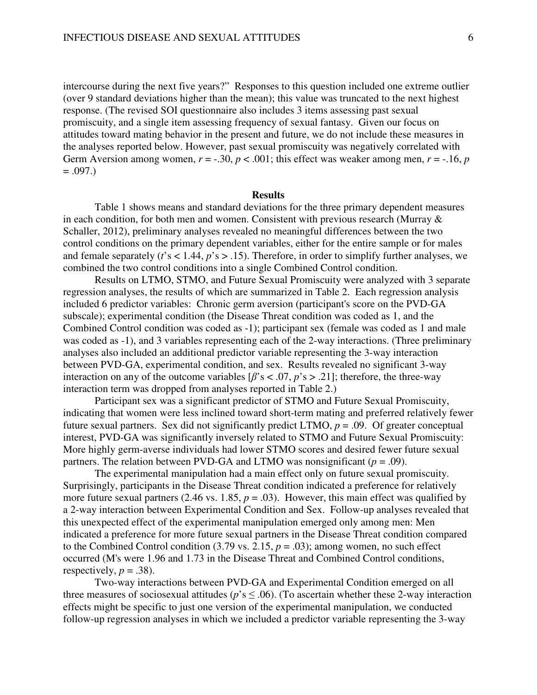intercourse during the next five years?" Responses to this question included one extreme outlier (over 9 standard deviations higher than the mean); this value was truncated to the next highest response. (The revised SOI questionnaire also includes 3 items assessing past sexual promiscuity, and a single item assessing frequency of sexual fantasy. Given our focus on attitudes toward mating behavior in the present and future, we do not include these measures in the analyses reported below. However, past sexual promiscuity was negatively correlated with Germ Aversion among women,  $r = -.30$ ,  $p < .001$ ; this effect was weaker among men,  $r = -.16$ ,  $p$  $=.097.$ 

#### **Results**

Table 1 shows means and standard deviations for the three primary dependent measures in each condition, for both men and women. Consistent with previous research (Murray & Schaller, 2012), preliminary analyses revealed no meaningful differences between the two control conditions on the primary dependent variables, either for the entire sample or for males and female separately (*t*'s < 1.44, *p*'s > .15). Therefore, in order to simplify further analyses, we combined the two control conditions into a single Combined Control condition.

Results on LTMO, STMO, and Future Sexual Promiscuity were analyzed with 3 separate regression analyses, the results of which are summarized in Table 2. Each regression analysis included 6 predictor variables: Chronic germ aversion (participant's score on the PVD-GA subscale); experimental condition (the Disease Threat condition was coded as 1, and the Combined Control condition was coded as -1); participant sex (female was coded as 1 and male was coded as -1), and 3 variables representing each of the 2-way interactions. (Three preliminary analyses also included an additional predictor variable representing the 3-way interaction between PVD-GA, experimental condition, and sex. Results revealed no significant 3-way interaction on any of the outcome variables  $[\beta$ 's < .07,  $p$ 's > .21]; therefore, the three-way interaction term was dropped from analyses reported in Table 2.)

Participant sex was a significant predictor of STMO and Future Sexual Promiscuity, indicating that women were less inclined toward short-term mating and preferred relatively fewer future sexual partners. Sex did not significantly predict LTMO, *p* = .09. Of greater conceptual interest, PVD-GA was significantly inversely related to STMO and Future Sexual Promiscuity: More highly germ-averse individuals had lower STMO scores and desired fewer future sexual partners. The relation between PVD-GA and LTMO was nonsignificant  $(p = .09)$ .

The experimental manipulation had a main effect only on future sexual promiscuity. Surprisingly, participants in the Disease Threat condition indicated a preference for relatively more future sexual partners (2.46 vs. 1.85,  $p = .03$ ). However, this main effect was qualified by a 2-way interaction between Experimental Condition and Sex. Follow-up analyses revealed that this unexpected effect of the experimental manipulation emerged only among men: Men indicated a preference for more future sexual partners in the Disease Threat condition compared to the Combined Control condition  $(3.79 \text{ vs. } 2.15, p = .03)$ ; among women, no such effect occurred (M's were 1.96 and 1.73 in the Disease Threat and Combined Control conditions, respectively,  $p = .38$ ).

Two-way interactions between PVD-GA and Experimental Condition emerged on all three measures of sociosexual attitudes ( $p$ 's  $\leq$  .06). (To ascertain whether these 2-way interaction effects might be specific to just one version of the experimental manipulation, we conducted follow-up regression analyses in which we included a predictor variable representing the 3-way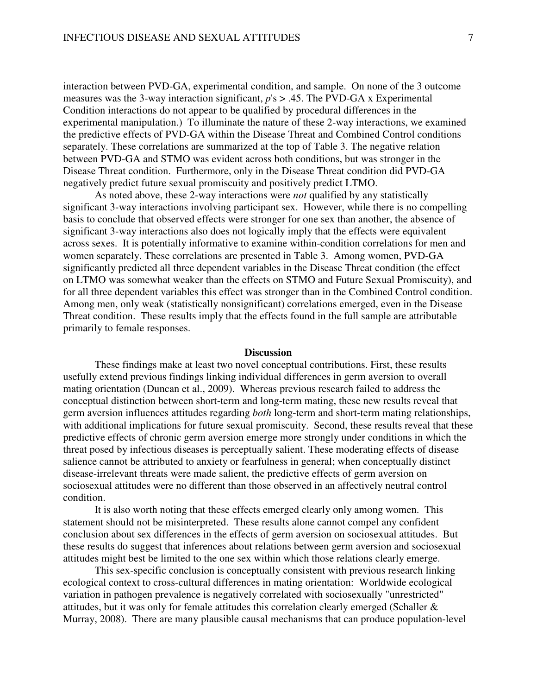interaction between PVD-GA, experimental condition, and sample. On none of the 3 outcome measures was the 3-way interaction significant, *p*'s > .45. The PVD-GA x Experimental Condition interactions do not appear to be qualified by procedural differences in the experimental manipulation.) To illuminate the nature of these 2-way interactions, we examined the predictive effects of PVD-GA within the Disease Threat and Combined Control conditions separately. These correlations are summarized at the top of Table 3. The negative relation between PVD-GA and STMO was evident across both conditions, but was stronger in the Disease Threat condition. Furthermore, only in the Disease Threat condition did PVD-GA negatively predict future sexual promiscuity and positively predict LTMO.

As noted above, these 2-way interactions were *not* qualified by any statistically significant 3-way interactions involving participant sex. However, while there is no compelling basis to conclude that observed effects were stronger for one sex than another, the absence of significant 3-way interactions also does not logically imply that the effects were equivalent across sexes. It is potentially informative to examine within-condition correlations for men and women separately. These correlations are presented in Table 3. Among women, PVD-GA significantly predicted all three dependent variables in the Disease Threat condition (the effect on LTMO was somewhat weaker than the effects on STMO and Future Sexual Promiscuity), and for all three dependent variables this effect was stronger than in the Combined Control condition. Among men, only weak (statistically nonsignificant) correlations emerged, even in the Disease Threat condition. These results imply that the effects found in the full sample are attributable primarily to female responses.

### **Discussion**

These findings make at least two novel conceptual contributions. First, these results usefully extend previous findings linking individual differences in germ aversion to overall mating orientation (Duncan et al., 2009). Whereas previous research failed to address the conceptual distinction between short-term and long-term mating, these new results reveal that germ aversion influences attitudes regarding *both* long-term and short-term mating relationships, with additional implications for future sexual promiscuity. Second, these results reveal that these predictive effects of chronic germ aversion emerge more strongly under conditions in which the threat posed by infectious diseases is perceptually salient. These moderating effects of disease salience cannot be attributed to anxiety or fearfulness in general; when conceptually distinct disease-irrelevant threats were made salient, the predictive effects of germ aversion on sociosexual attitudes were no different than those observed in an affectively neutral control condition.

It is also worth noting that these effects emerged clearly only among women. This statement should not be misinterpreted. These results alone cannot compel any confident conclusion about sex differences in the effects of germ aversion on sociosexual attitudes. But these results do suggest that inferences about relations between germ aversion and sociosexual attitudes might best be limited to the one sex within which those relations clearly emerge.

This sex-specific conclusion is conceptually consistent with previous research linking ecological context to cross-cultural differences in mating orientation: Worldwide ecological variation in pathogen prevalence is negatively correlated with sociosexually "unrestricted" attitudes, but it was only for female attitudes this correlation clearly emerged (Schaller & Murray, 2008). There are many plausible causal mechanisms that can produce population-level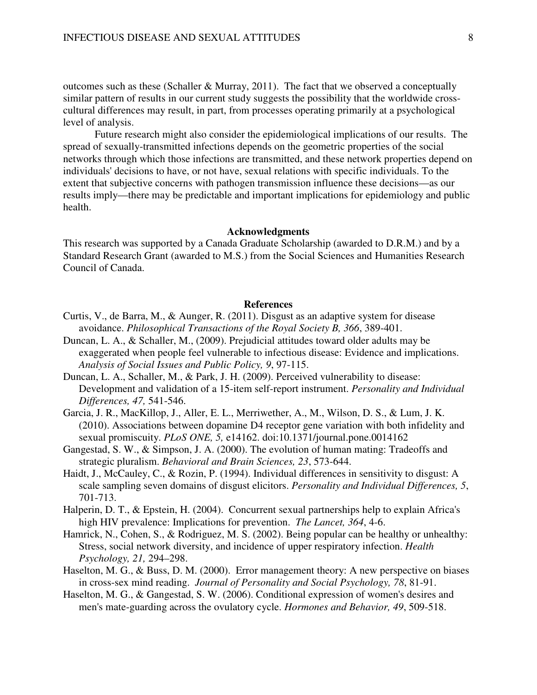outcomes such as these (Schaller & Murray, 2011). The fact that we observed a conceptually similar pattern of results in our current study suggests the possibility that the worldwide crosscultural differences may result, in part, from processes operating primarily at a psychological level of analysis.

Future research might also consider the epidemiological implications of our results. The spread of sexually-transmitted infections depends on the geometric properties of the social networks through which those infections are transmitted, and these network properties depend on individuals' decisions to have, or not have, sexual relations with specific individuals. To the extent that subjective concerns with pathogen transmission influence these decisions—as our results imply—there may be predictable and important implications for epidemiology and public health.

# **Acknowledgments**

This research was supported by a Canada Graduate Scholarship (awarded to D.R.M.) and by a Standard Research Grant (awarded to M.S.) from the Social Sciences and Humanities Research Council of Canada.

## **References**

- Curtis, V., de Barra, M., & Aunger, R. (2011). Disgust as an adaptive system for disease avoidance. *Philosophical Transactions of the Royal Society B, 366*, 389-401.
- Duncan, L. A., & Schaller, M., (2009). Prejudicial attitudes toward older adults may be exaggerated when people feel vulnerable to infectious disease: Evidence and implications. *Analysis of Social Issues and Public Policy, 9*, 97-115.
- Duncan, L. A., Schaller, M., & Park, J. H. (2009). Perceived vulnerability to disease: Development and validation of a 15-item self-report instrument. *Personality and Individual Differences, 47,* 541-546.
- Garcia, J. R., MacKillop, J., Aller, E. L., Merriwether, A., M., Wilson, D. S., & Lum, J. K. (2010). Associations between dopamine D4 receptor gene variation with both infidelity and sexual promiscuity. *PLoS ONE, 5,* e14162. doi:10.1371/journal.pone.0014162
- Gangestad, S. W., & Simpson, J. A. (2000). The evolution of human mating: Tradeoffs and strategic pluralism. *Behavioral and Brain Sciences, 23*, 573-644.
- Haidt, J., McCauley, C., & Rozin, P. (1994). Individual differences in sensitivity to disgust: A scale sampling seven domains of disgust elicitors. *Personality and Individual Differences, 5*, 701-713.
- Halperin, D. T., & Epstein, H. (2004). Concurrent sexual partnerships help to explain Africa's high HIV prevalence: Implications for prevention. *The Lancet, 364*, 4-6.
- Hamrick, N., Cohen, S., & Rodriguez, M. S. (2002). Being popular can be healthy or unhealthy: Stress, social network diversity, and incidence of upper respiratory infection. *Health Psychology, 21,* 294–298.
- Haselton, M. G., & Buss, D. M. (2000). Error management theory: A new perspective on biases in cross-sex mind reading. *Journal of Personality and Social Psychology, 78*, 81-91.
- Haselton, M. G., & Gangestad, S. W. (2006). Conditional expression of women's desires and men's mate-guarding across the ovulatory cycle. *Hormones and Behavior, 49*, 509-518.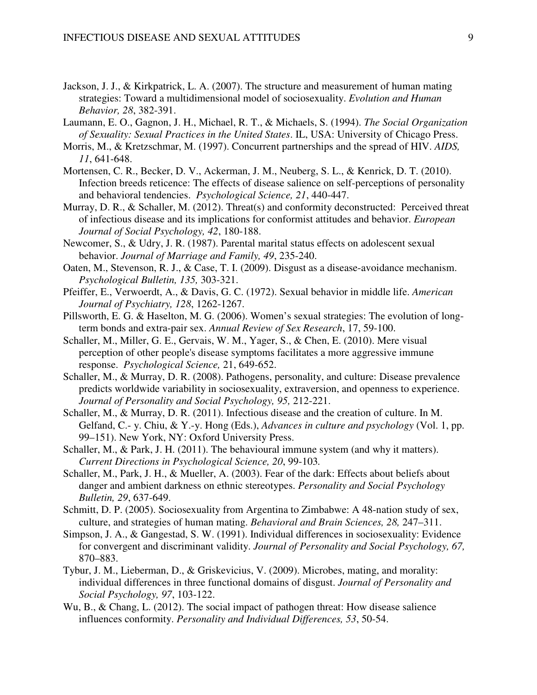- Jackson, J. J., & Kirkpatrick, L. A. (2007). The structure and measurement of human mating strategies: Toward a multidimensional model of sociosexuality. *Evolution and Human Behavior, 28*, 382-391.
- Laumann, E. O., Gagnon, J. H., Michael, R. T., & Michaels, S. (1994). *The Social Organization of Sexuality: Sexual Practices in the United States*. IL, USA: University of Chicago Press.
- Morris, M., & Kretzschmar, M. (1997). Concurrent partnerships and the spread of HIV. *AIDS, 11*, 641-648.
- Mortensen, C. R., Becker, D. V., Ackerman, J. M., Neuberg, S. L., & Kenrick, D. T. (2010). Infection breeds reticence: The effects of disease salience on self-perceptions of personality and behavioral tendencies. *Psychological Science, 21*, 440-447.
- Murray, D. R., & Schaller, M. (2012). Threat(s) and conformity deconstructed: Perceived threat of infectious disease and its implications for conformist attitudes and behavior. *European Journal of Social Psychology, 42*, 180-188.
- Newcomer, S., & Udry, J. R. (1987). Parental marital status effects on adolescent sexual behavior. *Journal of Marriage and Family, 49*, 235-240.
- Oaten, M., Stevenson, R. J., & Case, T. I. (2009). Disgust as a disease-avoidance mechanism. *Psychological Bulletin, 135,* 303-321.
- Pfeiffer, E., Verwoerdt, A., & Davis, G. C. (1972). Sexual behavior in middle life. *American Journal of Psychiatry, 128*, 1262-1267.
- Pillsworth, E. G. & Haselton, M. G. (2006). Women's sexual strategies: The evolution of longterm bonds and extra-pair sex. *Annual Review of Sex Research*, 17, 59-100.
- Schaller, M., Miller, G. E., Gervais, W. M., Yager, S., & Chen, E. (2010). Mere visual perception of other people's disease symptoms facilitates a more aggressive immune response. *Psychological Science,* 21, 649-652.
- Schaller, M., & Murray, D. R. (2008). Pathogens, personality, and culture: Disease prevalence predicts worldwide variability in sociosexuality, extraversion, and openness to experience. *Journal of Personality and Social Psychology, 95,* 212-221.
- Schaller, M., & Murray, D. R. (2011). Infectious disease and the creation of culture. In M. Gelfand, C.- y. Chiu, & Y.-y. Hong (Eds.), *Advances in culture and psychology* (Vol. 1, pp. 99–151). New York, NY: Oxford University Press.
- Schaller, M., & Park, J. H. (2011). The behavioural immune system (and why it matters). *Current Directions in Psychological Science, 20*, 99-103*.*
- Schaller, M., Park, J. H., & Mueller, A. (2003). Fear of the dark: Effects about beliefs about danger and ambient darkness on ethnic stereotypes. *Personality and Social Psychology Bulletin, 29*, 637-649.
- Schmitt, D. P. (2005). Sociosexuality from Argentina to Zimbabwe: A 48-nation study of sex, culture, and strategies of human mating. *Behavioral and Brain Sciences, 28,* 247–311.
- Simpson, J. A., & Gangestad, S. W. (1991). Individual differences in sociosexuality: Evidence for convergent and discriminant validity. *Journal of Personality and Social Psychology, 67,*  870–883.
- Tybur, J. M., Lieberman, D., & Griskevicius, V. (2009). Microbes, mating, and morality: individual differences in three functional domains of disgust. *Journal of Personality and Social Psychology, 97*, 103-122.
- Wu, B., & Chang, L. (2012). The social impact of pathogen threat: How disease salience influences conformity. *Personality and Individual Differences, 53*, 50-54.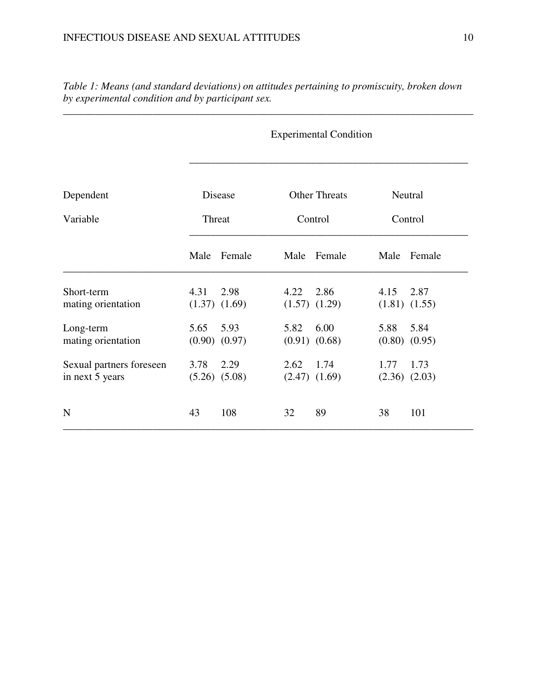*Table 1: Means (and standard deviations) on attitudes pertaining to promiscuity, broken down by experimental condition and by participant sex.* 

\_\_\_\_\_\_\_\_\_\_\_\_\_\_\_\_\_\_\_\_\_\_\_\_\_\_\_\_\_\_\_\_\_\_\_\_\_\_\_\_\_\_\_\_\_\_\_\_\_\_\_\_\_\_\_\_\_\_\_\_\_\_\_\_\_\_\_\_\_\_\_\_\_\_\_\_\_\_

Experimental Condition

| Dependent                                   | Disease<br>Threat |                           |      | <b>Other Threats</b>      | Neutral<br>Control |                           |
|---------------------------------------------|-------------------|---------------------------|------|---------------------------|--------------------|---------------------------|
| Variable                                    |                   |                           |      | Control                   |                    |                           |
|                                             | Male              | Female                    | Male | Female                    | Male               | Female                    |
| Short-term<br>mating orientation            | 4.31              | 2.98<br>$(1.37)$ $(1.69)$ | 4.22 | 2.86<br>$(1.57)$ $(1.29)$ | 4.15               | 2.87<br>$(1.81)$ $(1.55)$ |
| Long-term<br>mating orientation             | 5.65              | 5.93<br>$(0.90)$ $(0.97)$ | 5.82 | 6.00<br>$(0.91)$ $(0.68)$ | 5.88               | 5.84<br>$(0.80)$ $(0.95)$ |
| Sexual partners foreseen<br>in next 5 years | 3.78              | 2.29<br>$(5.26)$ $(5.08)$ | 2.62 | 1.74<br>$(2.47)$ $(1.69)$ | 1.77               | 1.73<br>$(2.36)$ $(2.03)$ |
| N                                           | 43                | 108                       | 32   | 89                        | 38                 | 101                       |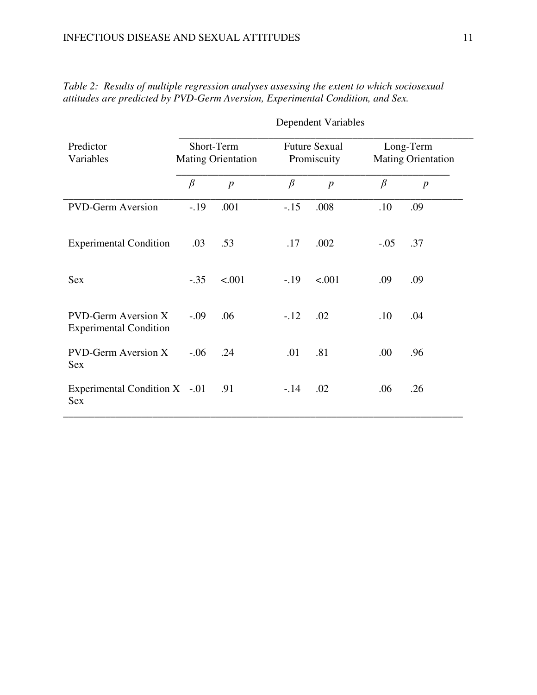| Predictor<br>Variables                                      | Short-Term<br><b>Mating Orientation</b> |                |         | <b>Future Sexual</b><br>Promiscuity |         | Long-Term<br><b>Mating Orientation</b> |  |
|-------------------------------------------------------------|-----------------------------------------|----------------|---------|-------------------------------------|---------|----------------------------------------|--|
|                                                             | $\beta$                                 | $\overline{p}$ | $\beta$ | $\boldsymbol{p}$                    | $\beta$ | $\boldsymbol{p}$                       |  |
| <b>PVD-Germ Aversion</b>                                    | $-.19$                                  | .001           | $-.15$  | .008                                | .10     | .09                                    |  |
| <b>Experimental Condition</b>                               | .03                                     | .53            | .17     | .002                                | $-.05$  | .37                                    |  |
| <b>Sex</b>                                                  | $-.35$                                  | < .001         | $-.19$  | < .001                              | .09     | .09                                    |  |
| <b>PVD-Germ Aversion X</b><br><b>Experimental Condition</b> | $-.09$                                  | .06            | $-.12$  | .02                                 | .10     | .04                                    |  |
| <b>PVD-Germ Aversion X</b><br><b>Sex</b>                    | $-0.06$                                 | .24            | .01     | .81                                 | .00     | .96                                    |  |
| Experimental Condition $X$ -.01<br><b>Sex</b>               |                                         | .91            | $-.14$  | .02                                 | .06     | .26                                    |  |

*Table 2:**Results of multiple regression analyses assessing the extent to which sociosexual attitudes are predicted by PVD-Germ Aversion, Experimental Condition, and Sex.*